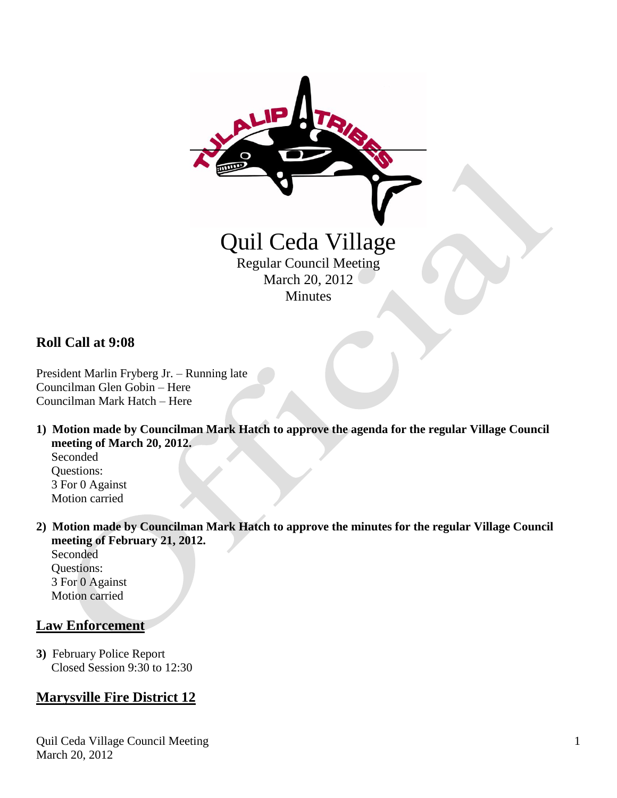

### **Roll Call at 9:08**

President Marlin Fryberg Jr. – Running late Councilman Glen Gobin – Here Councilman Mark Hatch – Here

**1) Motion made by Councilman Mark Hatch to approve the agenda for the regular Village Council meeting of March 20, 2012.** Seconded Questions:

 3 For 0 Against Motion carried

**2) Motion made by Councilman Mark Hatch to approve the minutes for the regular Village Council meeting of February 21, 2012.**

 Seconded Questions: 3 For 0 Against Motion carried

#### **Law Enforcement**

**3)** February Police Report Closed Session 9:30 to 12:30

# **Marysville Fire District 12**

Quil Ceda Village Council Meeting March 20, 2012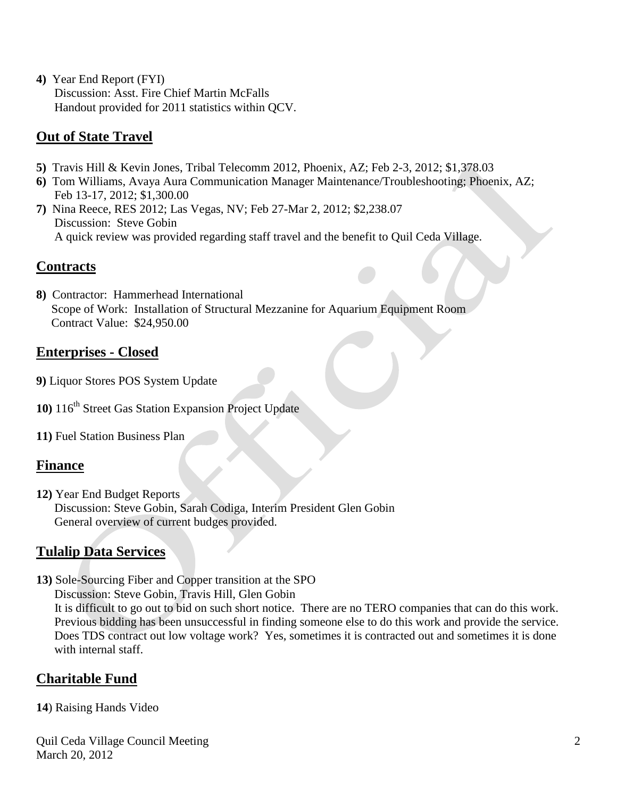**4)** Year End Report (FYI) Discussion: Asst. Fire Chief Martin McFalls Handout provided for 2011 statistics within QCV.

## **Out of State Travel**

- **5)** Travis Hill & Kevin Jones, Tribal Telecomm 2012, Phoenix, AZ; Feb 2-3, 2012; \$1,378.03
- **6)** Tom Williams, Avaya Aura Communication Manager Maintenance/Troubleshooting; Phoenix, AZ; Feb 13-17, 2012; \$1,300.00
- **7)** Nina Reece, RES 2012; Las Vegas, NV; Feb 27-Mar 2, 2012; \$2,238.07 Discussion: Steve Gobin A quick review was provided regarding staff travel and the benefit to Quil Ceda Village.

#### **Contracts**

**8)** Contractor: Hammerhead International Scope of Work: Installation of Structural Mezzanine for Aquarium Equipment Room Contract Value: \$24,950.00

#### **Enterprises - Closed**

- **9)** Liquor Stores POS System Update
- 10) 116<sup>th</sup> Street Gas Station Expansion Project Update
- **11)** Fuel Station Business Plan

#### **Finance**

**12)** Year End Budget Reports Discussion: Steve Gobin, Sarah Codiga, Interim President Glen Gobin General overview of current budges provided.

## **Tulalip Data Services**

- **13)** Sole-Sourcing Fiber and Copper transition at the SPO
	- Discussion: Steve Gobin, Travis Hill, Glen Gobin

 It is difficult to go out to bid on such short notice. There are no TERO companies that can do this work. Previous bidding has been unsuccessful in finding someone else to do this work and provide the service. Does TDS contract out low voltage work? Yes, sometimes it is contracted out and sometimes it is done with internal staff.

## **Charitable Fund**

**14**) Raising Hands Video

Quil Ceda Village Council Meeting March 20, 2012